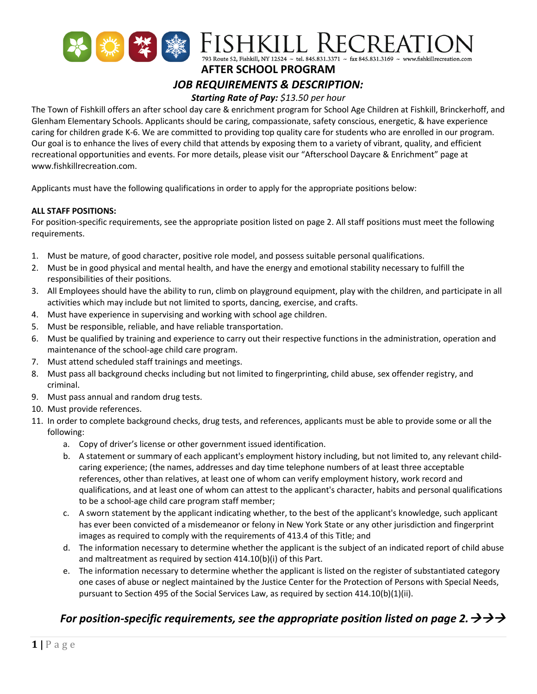

**AFTER SCHOOL PROGRAM**

# *JOB REQUIREMENTS & DESCRIPTION:*

## *Starting Rate of Pay: \$13.50 per hour*

The Town of Fishkill offers an after school day care & enrichment program for School Age Children at Fishkill, Brinckerhoff, and Glenham Elementary Schools. Applicants should be caring, compassionate, safety conscious, energetic, & have experience caring for children grade K-6. We are committed to providing top quality care for students who are enrolled in our program. Our goal is to enhance the lives of every child that attends by exposing them to a variety of vibrant, quality, and efficient recreational opportunities and events. For more details, please visit our "Afterschool Daycare & Enrichment" page at www.fishkillrecreation.com.

Applicants must have the following qualifications in order to apply for the appropriate positions below:

#### **ALL STAFF POSITIONS:**

For position-specific requirements, see the appropriate position listed on page 2. All staff positions must meet the following requirements.

- 1. Must be mature, of good character, positive role model, and possess suitable personal qualifications.
- 2. Must be in good physical and mental health, and have the energy and emotional stability necessary to fulfill the responsibilities of their positions.
- 3. All Employees should have the ability to run, climb on playground equipment, play with the children, and participate in all activities which may include but not limited to sports, dancing, exercise, and crafts.
- 4. Must have experience in supervising and working with school age children.
- 5. Must be responsible, reliable, and have reliable transportation.
- 6. Must be qualified by training and experience to carry out their respective functions in the administration, operation and maintenance of the school-age child care program.
- 7. Must attend scheduled staff trainings and meetings.
- 8. Must pass all background checks including but not limited to fingerprinting, child abuse, sex offender registry, and criminal.
- 9. Must pass annual and random drug tests.
- 10. Must provide references.
- 11. In order to complete background checks, drug tests, and references, applicants must be able to provide some or all the following:
	- a. Copy of driver's license or other government issued identification.
	- b. A statement or summary of each applicant's employment history including, but not limited to, any relevant childcaring experience; (the names, addresses and day time telephone numbers of at least three acceptable references, other than relatives, at least one of whom can verify employment history, work record and qualifications, and at least one of whom can attest to the applicant's character, habits and personal qualifications to be a school-age child care program staff member;
	- c. A sworn statement by the applicant indicating whether, to the best of the applicant's knowledge, such applicant has ever been convicted of a misdemeanor or felony in New York State or any other jurisdiction and fingerprint images as required to comply with the requirements of 413.4 of this Title; and
	- d. The information necessary to determine whether the applicant is the subject of an indicated report of child abuse and maltreatment as required by section 414.10(b)(i) of this Part.
	- e. The information necessary to determine whether the applicant is listed on the register of substantiated category one cases of abuse or neglect maintained by the Justice Center for the Protection of Persons with Special Needs, pursuant to Section 495 of the Social Services Law, as required by section  $414.10(b)(1)(ii)$ .

### *For position-specific requirements, see the appropriate position listed on page 2.*  $\rightarrow \rightarrow \rightarrow$